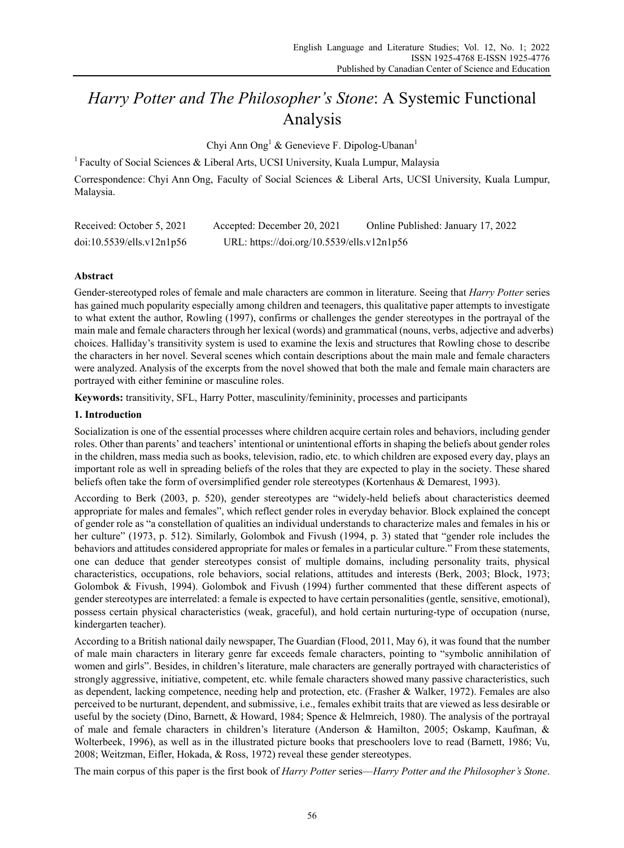# *Harry Potter and The Philosopher's Stone*: A Systemic Functional Analysis

Chyi Ann Ong<sup>1</sup> & Genevieve F. Dipolog-Ubanan<sup>1</sup>

<sup>1</sup> Faculty of Social Sciences & Liberal Arts, UCSI University, Kuala Lumpur, Malaysia

Correspondence: Chyi Ann Ong, Faculty of Social Sciences & Liberal Arts, UCSI University, Kuala Lumpur, Malaysia.

| Received: October 5, 2021 | Accepted: December 20, 2021                | Online Published: January 17, 2022 |
|---------------------------|--------------------------------------------|------------------------------------|
| doi:10.5539/ells.v12n1p56 | URL: https://doi.org/10.5539/ells.v12n1p56 |                                    |

# **Abstract**

Gender-stereotyped roles of female and male characters are common in literature. Seeing that *Harry Potter* series has gained much popularity especially among children and teenagers, this qualitative paper attempts to investigate to what extent the author, Rowling (1997), confirms or challenges the gender stereotypes in the portrayal of the main male and female characters through her lexical (words) and grammatical (nouns, verbs, adjective and adverbs) choices. Halliday's transitivity system is used to examine the lexis and structures that Rowling chose to describe the characters in her novel. Several scenes which contain descriptions about the main male and female characters were analyzed. Analysis of the excerpts from the novel showed that both the male and female main characters are portrayed with either feminine or masculine roles.

**Keywords:** transitivity, SFL, Harry Potter, masculinity/femininity, processes and participants

# **1. Introduction**

Socialization is one of the essential processes where children acquire certain roles and behaviors, including gender roles. Other than parents' and teachers' intentional or unintentional efforts in shaping the beliefs about gender roles in the children, mass media such as books, television, radio, etc. to which children are exposed every day, plays an important role as well in spreading beliefs of the roles that they are expected to play in the society. These shared beliefs often take the form of oversimplified gender role stereotypes (Kortenhaus & Demarest, 1993).

According to Berk (2003, p. 520), gender stereotypes are "widely-held beliefs about characteristics deemed appropriate for males and females", which reflect gender roles in everyday behavior. Block explained the concept of gender role as "a constellation of qualities an individual understands to characterize males and females in his or her culture" (1973, p. 512). Similarly, Golombok and Fivush (1994, p. 3) stated that "gender role includes the behaviors and attitudes considered appropriate for males or females in a particular culture." From these statements, one can deduce that gender stereotypes consist of multiple domains, including personality traits, physical characteristics, occupations, role behaviors, social relations, attitudes and interests (Berk, 2003; Block, 1973; Golombok & Fivush, 1994). Golombok and Fivush (1994) further commented that these different aspects of gender stereotypes are interrelated: a female is expected to have certain personalities (gentle, sensitive, emotional), possess certain physical characteristics (weak, graceful), and hold certain nurturing-type of occupation (nurse, kindergarten teacher).

According to a British national daily newspaper, The Guardian (Flood, 2011, May 6), it was found that the number of male main characters in literary genre far exceeds female characters, pointing to "symbolic annihilation of women and girls". Besides, in children's literature, male characters are generally portrayed with characteristics of strongly aggressive, initiative, competent, etc. while female characters showed many passive characteristics, such as dependent, lacking competence, needing help and protection, etc. (Frasher & Walker, 1972). Females are also perceived to be nurturant, dependent, and submissive, i.e., females exhibit traits that are viewed as less desirable or useful by the society (Dino, Barnett, & Howard, 1984; Spence & Helmreich, 1980). The analysis of the portrayal of male and female characters in children's literature (Anderson & Hamilton, 2005; Oskamp, Kaufman, & Wolterbeek, 1996), as well as in the illustrated picture books that preschoolers love to read (Barnett, 1986; Vu, 2008; Weitzman, Eifler, Hokada, & Ross, 1972) reveal these gender stereotypes.

The main corpus of this paper is the first book of *Harry Potter* series—*Harry Potter and the Philosopher's Stone*.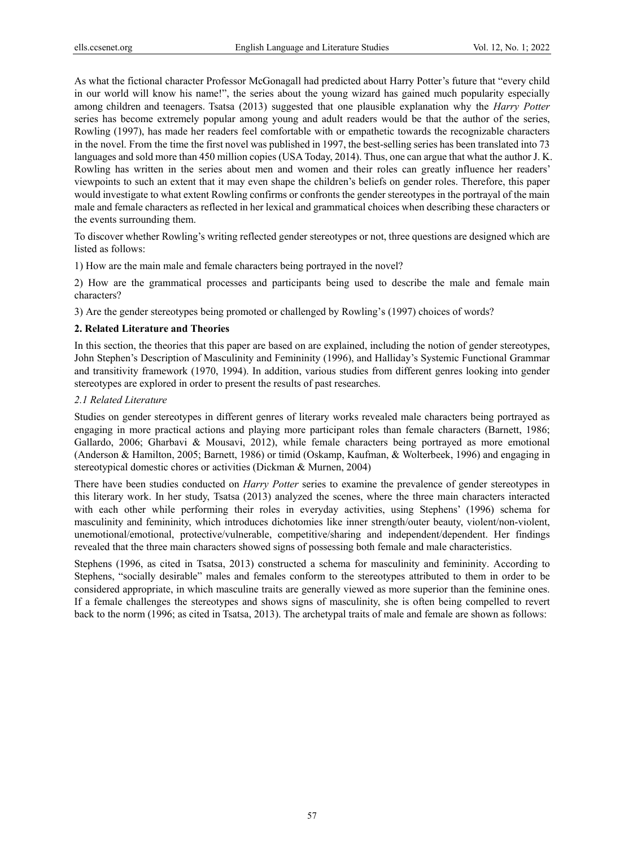As what the fictional character Professor McGonagall had predicted about Harry Potter's future that "every child in our world will know his name!", the series about the young wizard has gained much popularity especially among children and teenagers. Tsatsa (2013) suggested that one plausible explanation why the *Harry Potter* series has become extremely popular among young and adult readers would be that the author of the series, Rowling (1997), has made her readers feel comfortable with or empathetic towards the recognizable characters in the novel. From the time the first novel was published in 1997, the best-selling series has been translated into 73 languages and sold more than 450 million copies (USA Today, 2014). Thus, one can argue that what the author J. K. Rowling has written in the series about men and women and their roles can greatly influence her readers' viewpoints to such an extent that it may even shape the children's beliefs on gender roles. Therefore, this paper would investigate to what extent Rowling confirms or confronts the gender stereotypes in the portrayal of the main male and female characters as reflected in her lexical and grammatical choices when describing these characters or the events surrounding them.

To discover whether Rowling's writing reflected gender stereotypes or not, three questions are designed which are listed as follows:

1) How are the main male and female characters being portrayed in the novel?

2) How are the grammatical processes and participants being used to describe the male and female main characters?

3) Are the gender stereotypes being promoted or challenged by Rowling's (1997) choices of words?

## **2. Related Literature and Theories**

In this section, the theories that this paper are based on are explained, including the notion of gender stereotypes, John Stephen's Description of Masculinity and Femininity (1996), and Halliday's Systemic Functional Grammar and transitivity framework (1970, 1994). In addition, various studies from different genres looking into gender stereotypes are explored in order to present the results of past researches.

#### *2.1 Related Literature*

Studies on gender stereotypes in different genres of literary works revealed male characters being portrayed as engaging in more practical actions and playing more participant roles than female characters (Barnett, 1986; Gallardo, 2006; Gharbavi & Mousavi, 2012), while female characters being portrayed as more emotional (Anderson & Hamilton, 2005; Barnett, 1986) or timid (Oskamp, Kaufman, & Wolterbeek, 1996) and engaging in stereotypical domestic chores or activities (Dickman & Murnen, 2004)

There have been studies conducted on *Harry Potter* series to examine the prevalence of gender stereotypes in this literary work. In her study, Tsatsa (2013) analyzed the scenes, where the three main characters interacted with each other while performing their roles in everyday activities, using Stephens' (1996) schema for masculinity and femininity, which introduces dichotomies like inner strength/outer beauty, violent/non-violent, unemotional/emotional, protective/vulnerable, competitive/sharing and independent/dependent. Her findings revealed that the three main characters showed signs of possessing both female and male characteristics.

Stephens (1996, as cited in Tsatsa, 2013) constructed a schema for masculinity and femininity. According to Stephens, "socially desirable" males and females conform to the stereotypes attributed to them in order to be considered appropriate, in which masculine traits are generally viewed as more superior than the feminine ones. If a female challenges the stereotypes and shows signs of masculinity, she is often being compelled to revert back to the norm (1996; as cited in Tsatsa, 2013). The archetypal traits of male and female are shown as follows: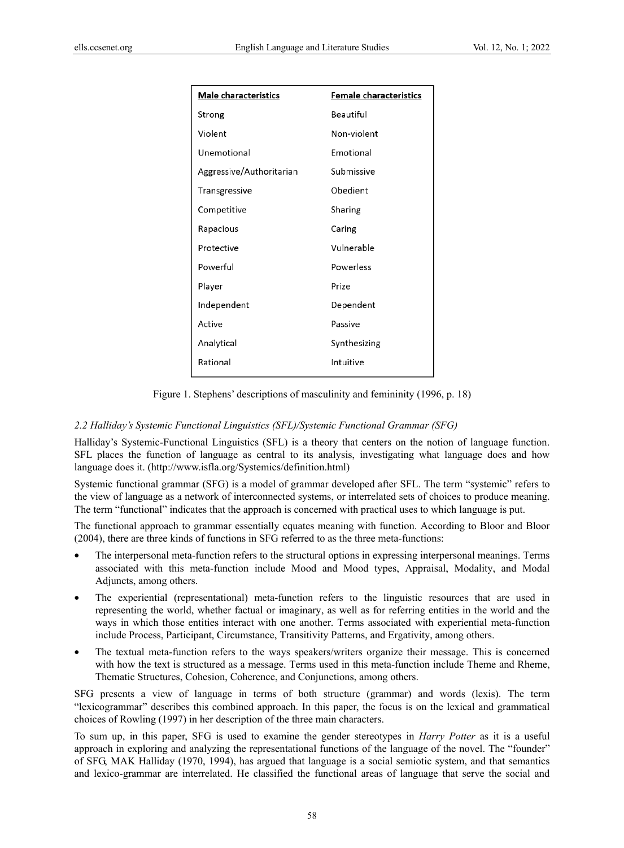| <b>Male characteristics</b> | <b>Female characteristics</b> |
|-----------------------------|-------------------------------|
| Strong                      | Beautiful                     |
| Violent                     | Non-violent                   |
| Unemotional                 | Emotional                     |
| Aggressive/Authoritarian    | Submissive                    |
| Transgressive               | Obedient                      |
| Competitive                 | Sharing                       |
| Rapacious                   | Caring                        |
| Protective                  | Vulnerable                    |
| Powerful                    | Powerless                     |
| Player                      | Prize                         |
| Independent                 | Dependent                     |
| Active                      | Passive                       |
| Analytical                  | Synthesizing                  |
| Rational                    | Intuitive                     |

Figure 1. Stephens' descriptions of masculinity and femininity (1996, p. 18)

## *2.2 Halliday's Systemic Functional Linguistics (SFL)/Systemic Functional Grammar (SFG)*

Halliday's Systemic-Functional Linguistics (SFL) is a theory that centers on the notion of language function. SFL places the function of language as central to its analysis, investigating what language does and how language does it. (http://www.isfla.org/Systemics/definition.html)

Systemic functional grammar (SFG) is a model of grammar developed after SFL. The term "systemic" refers to the view of language as a network of interconnected systems, or interrelated sets of choices to produce meaning. The term "functional" indicates that the approach is concerned with practical uses to which language is put.

The functional approach to grammar essentially equates meaning with function. According to Bloor and Bloor (2004), there are three kinds of functions in SFG referred to as the three meta-functions:

- The interpersonal meta-function refers to the structural options in expressing interpersonal meanings. Terms associated with this meta-function include Mood and Mood types, Appraisal, Modality, and Modal Adjuncts, among others.
- The experiential (representational) meta-function refers to the linguistic resources that are used in representing the world, whether factual or imaginary, as well as for referring entities in the world and the ways in which those entities interact with one another. Terms associated with experiential meta-function include Process, Participant, Circumstance, Transitivity Patterns, and Ergativity, among others.
- The textual meta-function refers to the ways speakers/writers organize their message. This is concerned with how the text is structured as a message. Terms used in this meta-function include Theme and Rheme, Thematic Structures, Cohesion, Coherence, and Conjunctions, among others.

SFG presents a view of language in terms of both structure (grammar) and words (lexis). The term "lexicogrammar" describes this combined approach. In this paper, the focus is on the lexical and grammatical choices of Rowling (1997) in her description of the three main characters.

To sum up, in this paper, SFG is used to examine the gender stereotypes in *Harry Potter* as it is a useful approach in exploring and analyzing the representational functions of the language of the novel. The "founder" of SFG, MAK Halliday (1970, 1994), has argued that language is a social semiotic system, and that semantics and lexico-grammar are interrelated. He classified the functional areas of language that serve the social and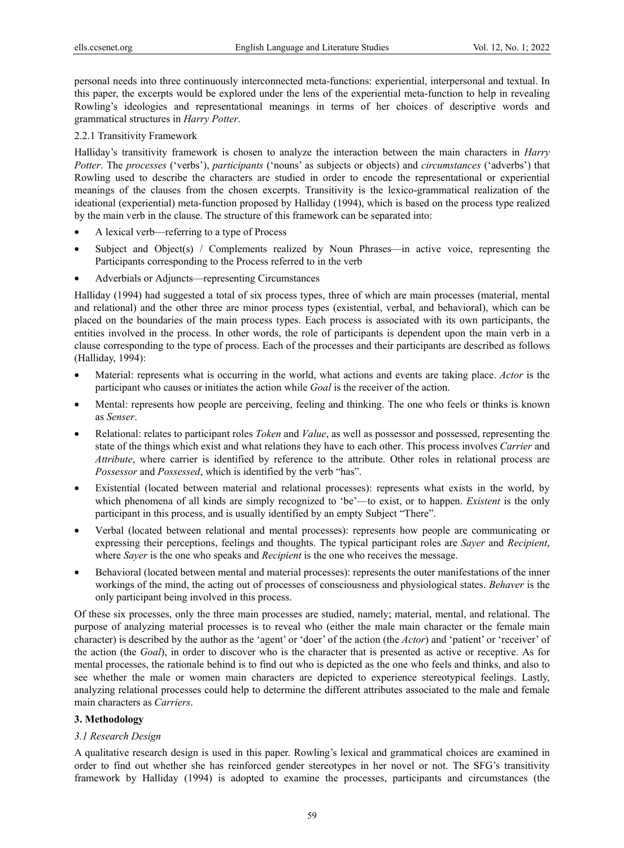personal needs into three continuously interconnected meta-functions: experiential, interpersonal and textual. In this paper, the excerpts would be explored under the lens of the experiential meta-function to help in revealing Rowling's ideologies and representational meanings in terms of her choices of descriptive words and grammatical structures in *Harry Potter*.

2.2.1 Transitivity Framework

Halliday's transitivity framework is chosen to analyze the interaction between the main characters in *Harry Potter*. The *processes* ('verbs'), *participants* ('nouns' as subjects or objects) and *circumstances* ('adverbs') that Rowling used to describe the characters are studied in order to encode the representational or experiential meanings of the clauses from the chosen excerpts. Transitivity is the lexico-grammatical realization of the ideational (experiential) meta-function proposed by Halliday (1994), which is based on the process type realized by the main verb in the clause. The structure of this framework can be separated into:

- A lexical verb—referring to a type of Process
- Subject and Object(s) / Complements realized by Noun Phrases—in active voice, representing the Participants corresponding to the Process referred to in the verb
- Adverbials or Adjuncts—representing Circumstances

Halliday (1994) had suggested a total of six process types, three of which are main processes (material, mental and relational) and the other three are minor process types (existential, verbal, and behavioral), which can be placed on the boundaries of the main process types. Each process is associated with its own participants, the entities involved in the process. In other words, the role of participants is dependent upon the main verb in a clause corresponding to the type of process. Each of the processes and their participants are described as follows (Halliday, 1994):

- Material: represents what is occurring in the world, what actions and events are taking place. *Actor* is the participant who causes or initiates the action while *Goal* is the receiver of the action.
- Mental: represents how people are perceiving, feeling and thinking. The one who feels or thinks is known as *Senser*.
- Relational: relates to participant roles *Token* and *Value*, as well as possessor and possessed, representing the state of the things which exist and what relations they have to each other. This process involves *Carrier* and *Attribute*, where carrier is identified by reference to the attribute. Other roles in relational process are *Possessor* and *Possessed*, which is identified by the verb "has".
- Existential (located between material and relational processes): represents what exists in the world, by which phenomena of all kinds are simply recognized to 'be'—to exist, or to happen. *Existent* is the only participant in this process, and is usually identified by an empty Subject "There".
- Verbal (located between relational and mental processes): represents how people are communicating or expressing their perceptions, feelings and thoughts. The typical participant roles are *Sayer* and *Recipient*, where *Sayer* is the one who speaks and *Recipient* is the one who receives the message.
- Behavioral (located between mental and material processes): represents the outer manifestations of the inner workings of the mind, the acting out of processes of consciousness and physiological states. *Behaver* is the only participant being involved in this process.

Of these six processes, only the three main processes are studied, namely; material, mental, and relational. The purpose of analyzing material processes is to reveal who (either the male main character or the female main character) is described by the author as the 'agent' or 'doer' of the action (the *Actor*) and 'patient' or 'receiver' of the action (the *Goal*), in order to discover who is the character that is presented as active or receptive. As for mental processes, the rationale behind is to find out who is depicted as the one who feels and thinks, and also to see whether the male or women main characters are depicted to experience stereotypical feelings. Lastly, analyzing relational processes could help to determine the different attributes associated to the male and female main characters as *Carriers*.

# **3. Methodology**

# *3.1 Research Design*

A qualitative research design is used in this paper. Rowling's lexical and grammatical choices are examined in order to find out whether she has reinforced gender stereotypes in her novel or not. The SFG's transitivity framework by Halliday (1994) is adopted to examine the processes, participants and circumstances (the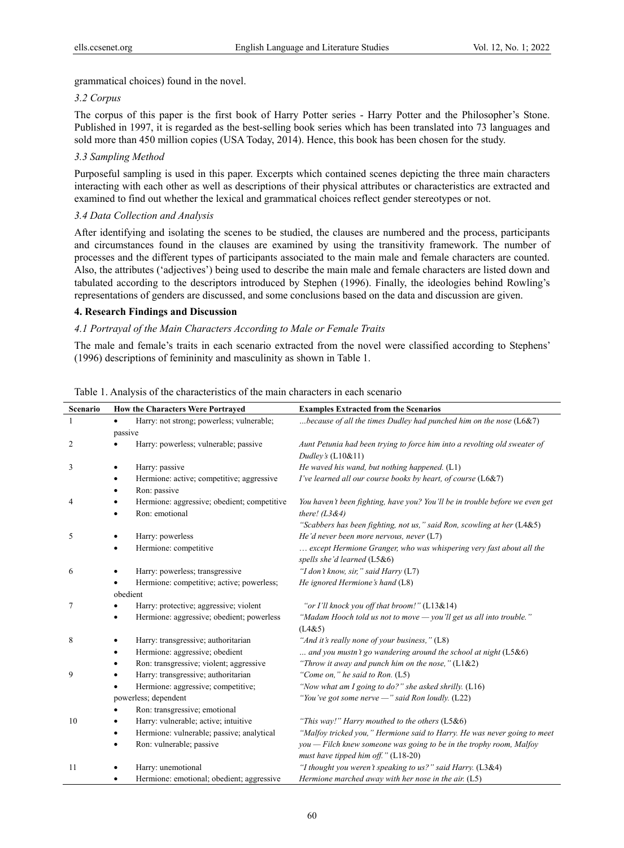grammatical choices) found in the novel.

# *3.2 Corpus*

The corpus of this paper is the first book of Harry Potter series - Harry Potter and the Philosopher's Stone. Published in 1997, it is regarded as the best-selling book series which has been translated into 73 languages and sold more than 450 million copies (USA Today, 2014). Hence, this book has been chosen for the study.

# *3.3 Sampling Method*

Purposeful sampling is used in this paper. Excerpts which contained scenes depicting the three main characters interacting with each other as well as descriptions of their physical attributes or characteristics are extracted and examined to find out whether the lexical and grammatical choices reflect gender stereotypes or not.

# *3.4 Data Collection and Analysis*

After identifying and isolating the scenes to be studied, the clauses are numbered and the process, participants and circumstances found in the clauses are examined by using the transitivity framework. The number of processes and the different types of participants associated to the main male and female characters are counted. Also, the attributes ('adjectives') being used to describe the main male and female characters are listed down and tabulated according to the descriptors introduced by Stephen (1996). Finally, the ideologies behind Rowling's representations of genders are discussed, and some conclusions based on the data and discussion are given.

## **4. Research Findings and Discussion**

# *4.1 Portrayal of the Main Characters According to Male or Female Traits*

The male and female's traits in each scenario extracted from the novel were classified according to Stephens' (1996) descriptions of femininity and masculinity as shown in Table 1.

| Scenario | How the Characters Were Portrayed                      | <b>Examples Extracted from the Scenarios</b>                                 |
|----------|--------------------------------------------------------|------------------------------------------------------------------------------|
| 1        | Harry: not strong; powerless; vulnerable;<br>$\bullet$ | because of all the times Dudley had punched him on the nose $(L6&7)$         |
|          | passive                                                |                                                                              |
| 2        | Harry: powerless; vulnerable; passive                  | Aunt Petunia had been trying to force him into a revolting old sweater of    |
|          |                                                        | Dudley's $(L10&11)$                                                          |
| 3        | Harry: passive<br>٠                                    | He waved his wand, but nothing happened. $(L1)$                              |
|          | Hermione: active; competitive; aggressive<br>٠         | I've learned all our course books by heart, of course (L6&7)                 |
|          | Ron: passive                                           |                                                                              |
| 4        | Hermione: aggressive; obedient; competitive            | You haven't been fighting, have you? You'll be in trouble before we even get |
|          | Ron: emotional<br>$\bullet$                            | there! $(L3&4)$                                                              |
|          |                                                        | "Scabbers has been fighting, not us," said Ron, scowling at her (L4&5)       |
| 5        | Harry: powerless<br>٠                                  | He'd never been more nervous, never $(L7)$                                   |
|          | Hermione: competitive                                  | except Hermione Granger, who was whispering very fast about all the          |
|          |                                                        | spells she'd learned (L5&6)                                                  |
| 6        | Harry: powerless; transgressive                        | "I don't know, sir," said Harry (L7)                                         |
|          | Hermione: competitive; active; powerless;<br>٠         | He ignored Hermione's hand (L8)                                              |
|          | obedient                                               |                                                                              |
| 7        | Harry: protective; aggressive; violent                 | "or I'll knock you off that broom!" (L13&14)                                 |
|          | Hermione: aggressive; obedient; powerless<br>٠         | "Madam Hooch told us not to move - you'll get us all into trouble."          |
|          |                                                        | (L4&5)                                                                       |
| 8        | Harry: transgressive; authoritarian<br>٠               | "And it's really none of your business," (L8)                                |
|          | Hermione: aggressive; obedient                         | and you mustn't go wandering around the school at night (L5&6)               |
|          | Ron: transgressive; violent; aggressive<br>٠           | "Throw it away and punch him on the nose," $(L1&2)$                          |
| 9        | Harry: transgressive; authoritarian<br>٠               | "Come on," he said to Ron. $(L5)$                                            |
|          | Hermione: aggressive; competitive;<br>$\bullet$        | "Now what am I going to do?" she asked shrilly. (L16)                        |
|          | powerless; dependent                                   | "You've got some nerve $-$ " said Ron loudly. (L22)                          |
|          | Ron: transgressive; emotional                          |                                                                              |
| 10       | Harry: vulnerable; active; intuitive                   | "This way!" Harry mouthed to the others $(L5&6)$                             |
|          | Hermione: vulnerable; passive; analytical<br>٠         | "Malfoy tricked you," Hermione said to Harry. He was never going to meet     |
|          | Ron: vulnerable; passive                               | $you$ - Filch knew someone was going to be in the trophy room, Malfoy        |
|          |                                                        | must have tipped him off." (L18-20)                                          |
| 11       | Harry: unemotional                                     | "I thought you weren't speaking to us?" said Harry. (L3&4)                   |
|          | Hermione: emotional; obedient; aggressive              | Hermione marched away with her nose in the air. $(L5)$                       |

Table 1. Analysis of the characteristics of the main characters in each scenario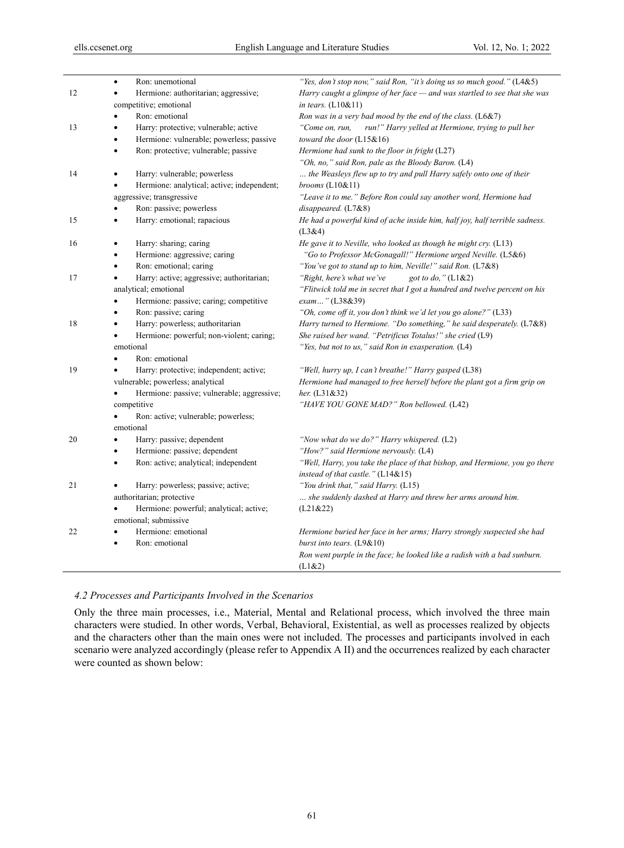|    | Ron: unemotional<br>$\bullet$                           | "Yes, don't stop now," said Ron, "it's doing us so much good." (L4&5)                                            |
|----|---------------------------------------------------------|------------------------------------------------------------------------------------------------------------------|
| 12 | Hermione: authoritarian; aggressive;<br>$\bullet$       | Harry caught a glimpse of her face - and was startled to see that she was                                        |
|    | competitive; emotional                                  | in tears. $(L10&11)$                                                                                             |
|    | Ron: emotional<br>$\bullet$                             | Ron was in a very bad mood by the end of the class. $(L6&7)$                                                     |
| 13 | Harry: protective; vulnerable; active<br>٠              | "Come on, run,<br>run!" Harry yelled at Hermione, trying to pull her                                             |
|    | Hermione: vulnerable; powerless; passive<br>$\bullet$   | toward the door (L15&16)                                                                                         |
|    | Ron: protective; vulnerable; passive<br>$\bullet$       | Hermione had sunk to the floor in fright (L27)                                                                   |
|    |                                                         | "Oh, no," said Ron, pale as the Bloody Baron. (L4)                                                               |
| 14 | Harry: vulnerable; powerless<br>$\bullet$               | the Weasleys flew up to try and pull Harry safely onto one of their                                              |
|    | Hermione: analytical; active; independent;<br>$\bullet$ | brooms $(L10&11)$                                                                                                |
|    | aggressive; transgressive                               | "Leave it to me." Before Ron could say another word, Hermione had                                                |
|    | Ron: passive; powerless                                 | disappeared. (L7&8)                                                                                              |
| 15 | Harry: emotional; rapacious<br>$\bullet$                | He had a powerful kind of ache inside him, half joy, half terrible sadness.<br>(L3&4)                            |
| 16 | Harry: sharing; caring<br>$\bullet$                     | He gave it to Neville, who looked as though he might cry. (L13)                                                  |
|    | Hermione: aggressive; caring<br>٠                       | "Go to Professor McGonagall!" Hermione urged Neville. (L5&6)                                                     |
|    | Ron: emotional; caring<br>$\bullet$                     | "You've got to stand up to him, Neville!" said Ron. (L7&8)                                                       |
| 17 | Harry: active; aggressive; authoritarian;<br>$\bullet$  | "Right, here's what we've<br>got to do," (L1&2)                                                                  |
|    | analytical; emotional                                   | "Flitwick told me in secret that I got a hundred and twelve percent on his                                       |
|    | Hermione: passive; caring; competitive<br>$\bullet$     | exam" (L38&39)                                                                                                   |
|    | Ron: passive; caring<br>$\bullet$                       | "Oh, come off it, you don't think we'd let you go alone?" (L33)                                                  |
| 18 | Harry: powerless; authoritarian<br>$\bullet$            | Harry turned to Hermione. "Do something," he said desperately. (L7&8)                                            |
|    | Hermione: powerful; non-violent; caring;<br>٠           | She raised her wand. "Petrificus Totalus!" she cried (L9)                                                        |
|    | emotional                                               | "Yes, but not to us," said Ron in exasperation. (L4)                                                             |
|    | Ron: emotional<br>$\bullet$                             |                                                                                                                  |
| 19 | Harry: protective; independent; active;<br>٠            | "Well, hurry up, I can't breathe!" Harry gasped (L38)                                                            |
|    | vulnerable; powerless; analytical                       | Hermione had managed to free herself before the plant got a firm grip on                                         |
|    | Hermione: passive; vulnerable; aggressive;<br>$\bullet$ | <i>her.</i> $(L31&32)$                                                                                           |
|    | competitive                                             | "HAVE YOU GONE MAD?" Ron bellowed. (L42)                                                                         |
|    | Ron: active; vulnerable; powerless;<br>$\bullet$        |                                                                                                                  |
|    | emotional                                               |                                                                                                                  |
| 20 | Harry: passive; dependent<br>$\bullet$                  | "Now what do we do?" Harry whispered. (L2)                                                                       |
|    | Hermione: passive; dependent<br>$\bullet$               | "How?" said Hermione nervously. (L4)                                                                             |
|    | Ron: active; analytical; independent<br>$\bullet$       | "Well, Harry, you take the place of that bishop, and Hermione, you go there<br>instead of that castle." (L14&15) |
| 21 | Harry: powerless; passive; active;<br>$\bullet$         | "You drink that," said Harry. (L15)                                                                              |
|    | authoritarian; protective                               | she suddenly dashed at Harry and threw her arms around him.                                                      |
|    | Hermione: powerful; analytical; active;<br>$\bullet$    | (L21&22)                                                                                                         |
|    | emotional; submissive                                   |                                                                                                                  |
| 22 | Hermione: emotional<br>$\bullet$                        | Hermione buried her face in her arms; Harry strongly suspected she had                                           |
|    | Ron: emotional<br>$\bullet$                             | burst into tears. $(L9&10)$                                                                                      |
|    |                                                         | Ron went purple in the face; he looked like a radish with a bad sunburn.<br>(L1&2)                               |

#### *4.2 Processes and Participants Involved in the Scenarios*

Only the three main processes, i.e., Material, Mental and Relational process, which involved the three main characters were studied. In other words, Verbal, Behavioral, Existential, as well as processes realized by objects and the characters other than the main ones were not included. The processes and participants involved in each scenario were analyzed accordingly (please refer to Appendix A II) and the occurrences realized by each character were counted as shown below: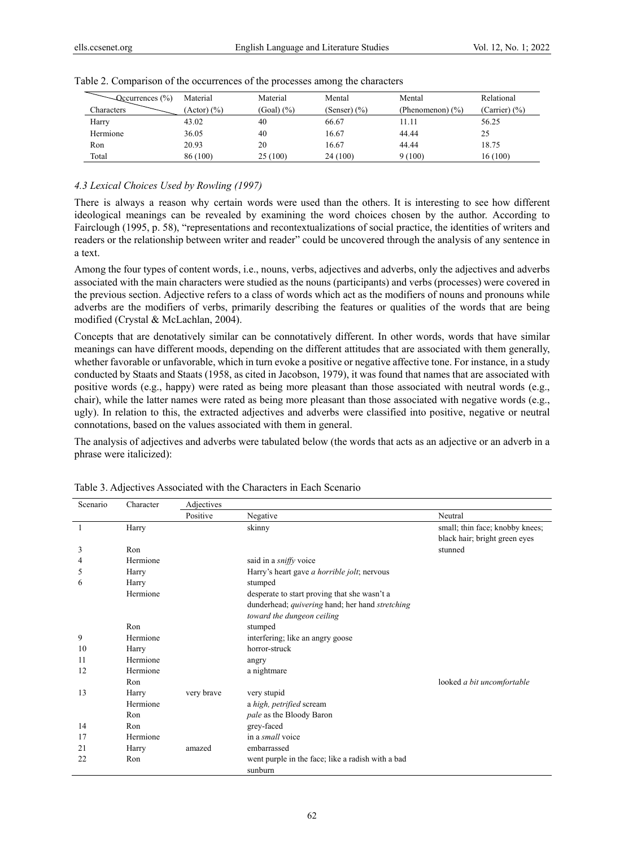| $\sim$ Qccurrences (%) | Material                 | Material   | Mental           | Mental               | Relational    |
|------------------------|--------------------------|------------|------------------|----------------------|---------------|
| Characters             | $(Action)$ $\frac{6}{6}$ | (Goal) (%) | (Senser) $(\% )$ | (Phenomenon) $(\% )$ | (Carrier) (%) |
| Harry                  | 43.02                    | 40         | 66.67            | 11.11                | 56.25         |
| Hermione               | 36.05                    | 40         | 16.67            | 44.44                | 25            |
| Ron                    | 20.93                    | 20         | 16.67            | 44.44                | 18.75         |
| Total                  | 86 (100)                 | 25(100)    | 24 (100)         | 9(100)               | 16(100)       |

|  | Table 2. Comparison of the occurrences of the processes among the characters |  |  |
|--|------------------------------------------------------------------------------|--|--|
|  |                                                                              |  |  |

## *4.3 Lexical Choices Used by Rowling (1997)*

There is always a reason why certain words were used than the others. It is interesting to see how different ideological meanings can be revealed by examining the word choices chosen by the author. According to Fairclough (1995, p. 58), "representations and recontextualizations of social practice, the identities of writers and readers or the relationship between writer and reader" could be uncovered through the analysis of any sentence in a text.

Among the four types of content words, i.e., nouns, verbs, adjectives and adverbs, only the adjectives and adverbs associated with the main characters were studied as the nouns (participants) and verbs (processes) were covered in the previous section. Adjective refers to a class of words which act as the modifiers of nouns and pronouns while adverbs are the modifiers of verbs, primarily describing the features or qualities of the words that are being modified (Crystal & McLachlan, 2004).

Concepts that are denotatively similar can be connotatively different. In other words, words that have similar meanings can have different moods, depending on the different attitudes that are associated with them generally, whether favorable or unfavorable, which in turn evoke a positive or negative affective tone. For instance, in a study conducted by Staats and Staats (1958, as cited in Jacobson, 1979), it was found that names that are associated with positive words (e.g., happy) were rated as being more pleasant than those associated with neutral words (e.g., chair), while the latter names were rated as being more pleasant than those associated with negative words (e.g., ugly). In relation to this, the extracted adjectives and adverbs were classified into positive, negative or neutral connotations, based on the values associated with them in general.

The analysis of adjectives and adverbs were tabulated below (the words that acts as an adjective or an adverb in a phrase were italicized):

| Scenario | Character | Adjectives |                                                   |                                 |
|----------|-----------|------------|---------------------------------------------------|---------------------------------|
|          |           | Positive   | Negative                                          | Neutral                         |
|          | Harry     |            | skinny                                            | small; thin face; knobby knees; |
|          |           |            |                                                   | black hair; bright green eyes   |
| 3        | Ron       |            |                                                   | stunned                         |
| 4        | Hermione  |            | said in a <i>sniffy</i> voice                     |                                 |
| 5        | Harry     |            | Harry's heart gave a horrible jolt; nervous       |                                 |
| 6        | Harry     |            | stumped                                           |                                 |
|          | Hermione  |            | desperate to start proving that she wasn't a      |                                 |
|          |           |            | dunderhead; quivering hand; her hand stretching   |                                 |
|          |           |            | toward the dungeon ceiling                        |                                 |
|          | Ron       |            | stumped                                           |                                 |
| 9        | Hermione  |            | interfering; like an angry goose                  |                                 |
| 10       | Harry     |            | horror-struck                                     |                                 |
| 11       | Hermione  |            | angry                                             |                                 |
| 12       | Hermione  |            | a nightmare                                       |                                 |
|          | Ron       |            |                                                   | looked a bit uncomfortable      |
| 13       | Harry     | very brave | very stupid                                       |                                 |
|          | Hermione  |            | a high, petrified scream                          |                                 |
|          | Ron       |            | pale as the Bloody Baron                          |                                 |
| 14       | Ron       |            | grey-faced                                        |                                 |
| 17       | Hermione  |            | in a <i>small</i> voice                           |                                 |
| 2.1      | Harry     | amazed     | embarrassed                                       |                                 |
| 22       | Ron       |            | went purple in the face; like a radish with a bad |                                 |
|          |           |            | sunburn                                           |                                 |

Table 3. Adjectives Associated with the Characters in Each Scenario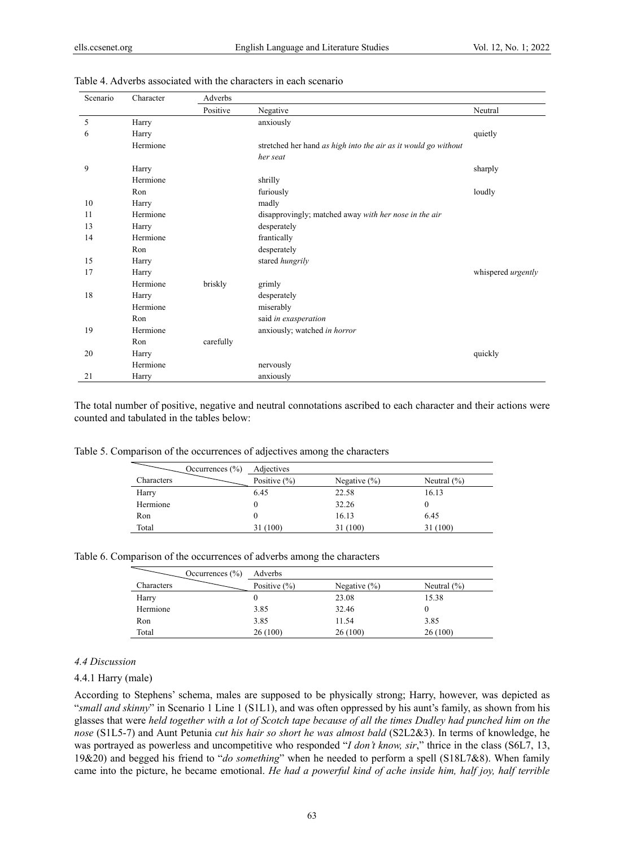| Scenario | Character | Adverbs   |                                                                |                           |
|----------|-----------|-----------|----------------------------------------------------------------|---------------------------|
|          |           | Positive  | Negative                                                       | Neutral                   |
| 5        | Harry     |           | anxiously                                                      |                           |
| 6        | Harry     |           |                                                                | quietly                   |
|          | Hermione  |           | stretched her hand as high into the air as it would go without |                           |
|          |           |           | her seat                                                       |                           |
| 9        | Harry     |           |                                                                | sharply                   |
|          | Hermione  |           | shrilly                                                        |                           |
|          | Ron       |           | furiously                                                      | loudly                    |
| 10       | Harry     |           | madly                                                          |                           |
| 11       | Hermione  |           | disapprovingly; matched away with her nose in the air          |                           |
| 13       | Harry     |           | desperately                                                    |                           |
| 14       | Hermione  |           | frantically                                                    |                           |
|          | Ron       |           | desperately                                                    |                           |
| 15       | Harry     |           | stared hungrily                                                |                           |
| 17       | Harry     |           |                                                                | whispered <i>urgently</i> |
|          | Hermione  | briskly   | grimly                                                         |                           |
| 18       | Harry     |           | desperately                                                    |                           |
|          | Hermione  |           | miserably                                                      |                           |
|          | Ron       |           | said in exasperation                                           |                           |
| 19       | Hermione  |           | anxiously; watched in horror                                   |                           |
|          | Ron       | carefully |                                                                |                           |
| 20       | Harry     |           |                                                                | quickly                   |
|          | Hermione  |           | nervously                                                      |                           |
| 21       | Harry     |           | anxiously                                                      |                           |

#### Table 4. Adverbs associated with the characters in each scenario

The total number of positive, negative and neutral connotations ascribed to each character and their actions were counted and tabulated in the tables below:

|  | Table 5. Comparison of the occurrences of adjectives among the characters |  |
|--|---------------------------------------------------------------------------|--|
|  |                                                                           |  |

| Occurrences $(\% )$ | Adjectives       |                  |                 |
|---------------------|------------------|------------------|-----------------|
| Characters          | Positive $(\% )$ | Negative $(\% )$ | Neutral $(\% )$ |
| Harry               | 6.45             | 22.58            | 16.13           |
| Hermione            | 0                | 32.26            |                 |
| Ron                 | 0                | 16.13            | 6.45            |
| Total               | 31 (100)         | 31 (100)         | 31 (100)        |

|  | Table 6. Comparison of the occurrences of adverbs among the characters |  |  |
|--|------------------------------------------------------------------------|--|--|
|  |                                                                        |  |  |

| Occurrences $(\% )$ | Adverbs          |                  |                 |
|---------------------|------------------|------------------|-----------------|
| Characters          | Positive $(\% )$ | Negative $(\% )$ | Neutral $(\% )$ |
| Harry               |                  | 23.08            | 15.38           |
| Hermione            | 3.85             | 32.46            |                 |
| Ron                 | 3.85             | 11.54            | 3.85            |
| Total               | 26(100)          | 26 (100)         | 26 (100)        |

#### *4.4 Discussion*

#### 4.4.1 Harry (male)

According to Stephens' schema, males are supposed to be physically strong; Harry, however, was depicted as "*small and skinny*" in Scenario 1 Line 1 (S1L1), and was often oppressed by his aunt's family, as shown from his glasses that were *held together with a lot of Scotch tape because of all the times Dudley had punched him on the nose* (S1L5-7) and Aunt Petunia *cut his hair so short he was almost bald* (S2L2&3). In terms of knowledge, he was portrayed as powerless and uncompetitive who responded "*I don't know, sir*," thrice in the class (S6L7, 13, 19&20) and begged his friend to "*do something*" when he needed to perform a spell (S18L7&8). When family came into the picture, he became emotional. *He had a powerful kind of ache inside him, half joy, half terrible*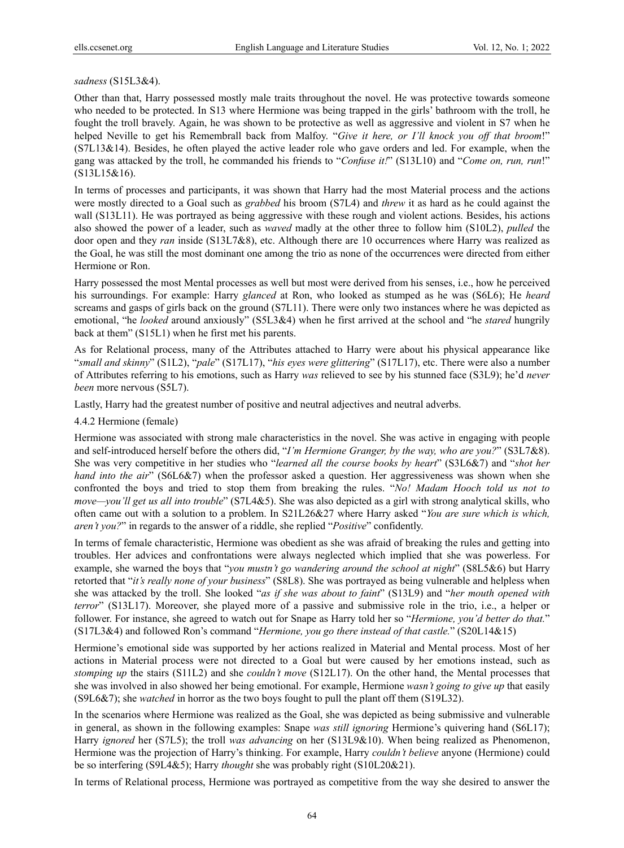#### *sadness* (S15L3&4).

Other than that, Harry possessed mostly male traits throughout the novel. He was protective towards someone who needed to be protected. In S13 where Hermione was being trapped in the girls' bathroom with the troll, he fought the troll bravely. Again, he was shown to be protective as well as aggressive and violent in S7 when he helped Neville to get his Remembrall back from Malfoy. "*Give it here, or I'll knock you off that broom*!" (S7L13&14). Besides, he often played the active leader role who gave orders and led. For example, when the gang was attacked by the troll, he commanded his friends to "*Confuse it!*" (S13L10) and "*Come on, run, run*!" (S13L15&16).

In terms of processes and participants, it was shown that Harry had the most Material process and the actions were mostly directed to a Goal such as *grabbed* his broom (S7L4) and *threw* it as hard as he could against the wall (S13L11). He was portrayed as being aggressive with these rough and violent actions. Besides, his actions also showed the power of a leader, such as *waved* madly at the other three to follow him (S10L2), *pulled* the door open and they *ran* inside (S13L7&8), etc. Although there are 10 occurrences where Harry was realized as the Goal, he was still the most dominant one among the trio as none of the occurrences were directed from either Hermione or Ron.

Harry possessed the most Mental processes as well but most were derived from his senses, i.e., how he perceived his surroundings. For example: Harry *glanced* at Ron, who looked as stumped as he was (S6L6); He *heard* screams and gasps of girls back on the ground (S7L11). There were only two instances where he was depicted as emotional, "he *looked* around anxiously" (S5L3&4) when he first arrived at the school and "he *stared* hungrily back at them" (S15L1) when he first met his parents.

As for Relational process, many of the Attributes attached to Harry were about his physical appearance like "*small and skinny*" (S1L2), "*pale*" (S17L17), "*his eyes were glittering*" (S17L17), etc. There were also a number of Attributes referring to his emotions, such as Harry *was* relieved to see by his stunned face (S3L9); he'd *never been* more nervous (S5L7).

Lastly, Harry had the greatest number of positive and neutral adjectives and neutral adverbs.

#### 4.4.2 Hermione (female)

Hermione was associated with strong male characteristics in the novel. She was active in engaging with people and self-introduced herself before the others did, "*I'm Hermione Granger, by the way, who are you?*" (S3L7&8). She was very competitive in her studies who "*learned all the course books by heart*" (S3L6&7) and "*shot her hand into the air*" (S6L6&7) when the professor asked a question. Her aggressiveness was shown when she confronted the boys and tried to stop them from breaking the rules. "*No! Madam Hooch told us not to move—you'll get us all into trouble*" (S7L4&5). She was also depicted as a girl with strong analytical skills, who often came out with a solution to a problem. In S21L26&27 where Harry asked "*You are sure which is which, aren't you?*" in regards to the answer of a riddle, she replied "*Positive*" confidently.

In terms of female characteristic, Hermione was obedient as she was afraid of breaking the rules and getting into troubles. Her advices and confrontations were always neglected which implied that she was powerless. For example, she warned the boys that "*you mustn't go wandering around the school at night*" (S8L5&6) but Harry retorted that "*it's really none of your business*" (S8L8). She was portrayed as being vulnerable and helpless when she was attacked by the troll. She looked "*as if she was about to faint*" (S13L9) and "*her mouth opened with terror*" (S13L17). Moreover, she played more of a passive and submissive role in the trio, i.e., a helper or follower. For instance, she agreed to watch out for Snape as Harry told her so "*Hermione, you'd better do that.*" (S17L3&4) and followed Ron's command "*Hermione, you go there instead of that castle.*" (S20L14&15)

Hermione's emotional side was supported by her actions realized in Material and Mental process. Most of her actions in Material process were not directed to a Goal but were caused by her emotions instead, such as *stomping up* the stairs (S11L2) and she *couldn't move* (S12L17). On the other hand, the Mental processes that she was involved in also showed her being emotional. For example, Hermione *wasn't going to give up* that easily (S9L6&7); she *watched* in horror as the two boys fought to pull the plant off them (S19L32).

In the scenarios where Hermione was realized as the Goal, she was depicted as being submissive and vulnerable in general, as shown in the following examples: Snape *was still ignoring* Hermione's quivering hand (S6L17); Harry *ignored* her (S7L5); the troll *was advancing* on her (S13L9&10). When being realized as Phenomenon, Hermione was the projection of Harry's thinking. For example, Harry *couldn't believe* anyone (Hermione) could be so interfering (S9L4&5); Harry *thought* she was probably right (S10L20&21).

In terms of Relational process, Hermione was portrayed as competitive from the way she desired to answer the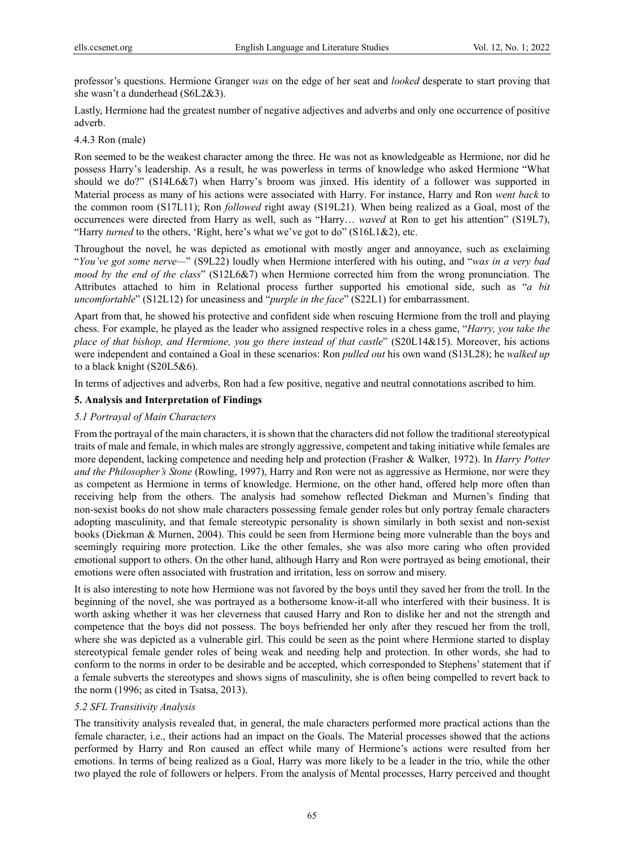professor's questions. Hermione Granger *was* on the edge of her seat and *looked* desperate to start proving that she wasn't a dunderhead (S6L2&3).

Lastly, Hermione had the greatest number of negative adjectives and adverbs and only one occurrence of positive adverb.

## 4.4.3 Ron (male)

Ron seemed to be the weakest character among the three. He was not as knowledgeable as Hermione, nor did he possess Harry's leadership. As a result, he was powerless in terms of knowledge who asked Hermione "What should we do?" (S14L6&7) when Harry's broom was jinxed. His identity of a follower was supported in Material process as many of his actions were associated with Harry. For instance, Harry and Ron *went back* to the common room (S17L11); Ron *followed* right away (S19L21). When being realized as a Goal, most of the occurrences were directed from Harry as well, such as "Harry… *waved* at Ron to get his attention" (S19L7), "Harry *turned* to the others, 'Right, here's what we've got to do" (S16L1&2), etc.

Throughout the novel, he was depicted as emotional with mostly anger and annoyance, such as exclaiming "*You've got some nerve—*" (S9L22) loudly when Hermione interfered with his outing, and "*was in a very bad mood by the end of the class*" (S12L6&7) when Hermione corrected him from the wrong pronunciation. The Attributes attached to him in Relational process further supported his emotional side, such as "*a bit uncomfortable*" (S12L12) for uneasiness and "*purple in the face*" (S22L1) for embarrassment.

Apart from that, he showed his protective and confident side when rescuing Hermione from the troll and playing chess. For example, he played as the leader who assigned respective roles in a chess game, "*Harry, you take the place of that bishop, and Hermione, you go there instead of that castle*" (S20L14&15). Moreover, his actions were independent and contained a Goal in these scenarios: Ron *pulled out* his own wand (S13L28); he *walked up* to a black knight (S20L5&6).

In terms of adjectives and adverbs, Ron had a few positive, negative and neutral connotations ascribed to him.

# **5. Analysis and Interpretation of Findings**

## *5.1 Portrayal of Main Characters*

From the portrayal of the main characters, it is shown that the characters did not follow the traditional stereotypical traits of male and female, in which males are strongly aggressive, competent and taking initiative while females are more dependent, lacking competence and needing help and protection (Frasher & Walker, 1972). In *Harry Potter and the Philosopher's Stone* (Rowling, 1997), Harry and Ron were not as aggressive as Hermione, nor were they as competent as Hermione in terms of knowledge. Hermione, on the other hand, offered help more often than receiving help from the others. The analysis had somehow reflected Diekman and Murnen's finding that non-sexist books do not show male characters possessing female gender roles but only portray female characters adopting masculinity, and that female stereotypic personality is shown similarly in both sexist and non-sexist books (Diekman & Murnen, 2004). This could be seen from Hermione being more vulnerable than the boys and seemingly requiring more protection. Like the other females, she was also more caring who often provided emotional support to others. On the other hand, although Harry and Ron were portrayed as being emotional, their emotions were often associated with frustration and irritation, less on sorrow and misery.

It is also interesting to note how Hermione was not favored by the boys until they saved her from the troll. In the beginning of the novel, she was portrayed as a bothersome know-it-all who interfered with their business. It is worth asking whether it was her cleverness that caused Harry and Ron to dislike her and not the strength and competence that the boys did not possess. The boys befriended her only after they rescued her from the troll, where she was depicted as a vulnerable girl. This could be seen as the point where Hermione started to display stereotypical female gender roles of being weak and needing help and protection. In other words, she had to conform to the norms in order to be desirable and be accepted, which corresponded to Stephens' statement that if a female subverts the stereotypes and shows signs of masculinity, she is often being compelled to revert back to the norm (1996; as cited in Tsatsa, 2013).

## *5.2 SFL Transitivity Analysis*

The transitivity analysis revealed that, in general, the male characters performed more practical actions than the female character, i.e., their actions had an impact on the Goals. The Material processes showed that the actions performed by Harry and Ron caused an effect while many of Hermione's actions were resulted from her emotions. In terms of being realized as a Goal, Harry was more likely to be a leader in the trio, while the other two played the role of followers or helpers. From the analysis of Mental processes, Harry perceived and thought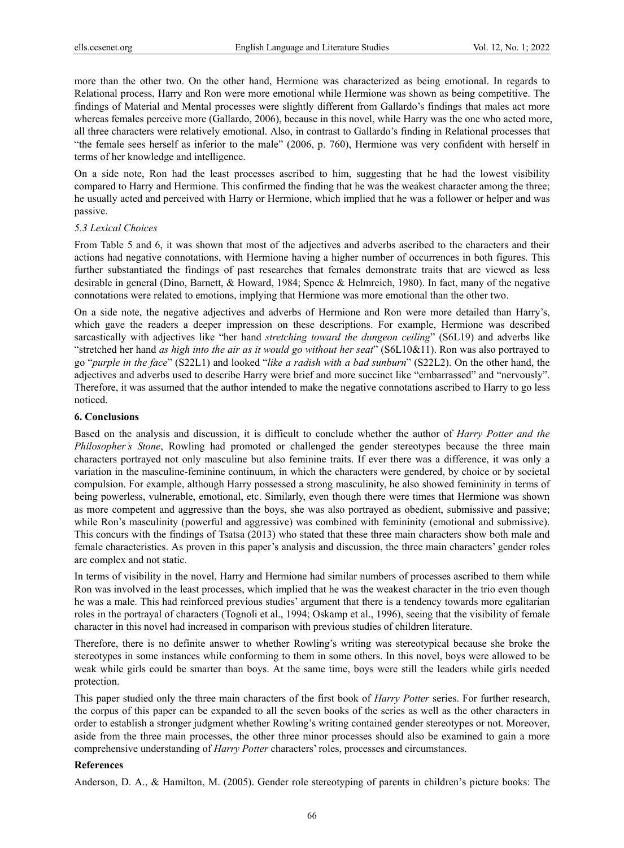more than the other two. On the other hand, Hermione was characterized as being emotional. In regards to Relational process, Harry and Ron were more emotional while Hermione was shown as being competitive. The findings of Material and Mental processes were slightly different from Gallardo's findings that males act more whereas females perceive more (Gallardo, 2006), because in this novel, while Harry was the one who acted more, all three characters were relatively emotional. Also, in contrast to Gallardo's finding in Relational processes that "the female sees herself as inferior to the male" (2006, p. 760), Hermione was very confident with herself in terms of her knowledge and intelligence.

On a side note, Ron had the least processes ascribed to him, suggesting that he had the lowest visibility compared to Harry and Hermione. This confirmed the finding that he was the weakest character among the three; he usually acted and perceived with Harry or Hermione, which implied that he was a follower or helper and was passive.

#### *5.3 Lexical Choices*

From Table 5 and 6, it was shown that most of the adjectives and adverbs ascribed to the characters and their actions had negative connotations, with Hermione having a higher number of occurrences in both figures. This further substantiated the findings of past researches that females demonstrate traits that are viewed as less desirable in general (Dino, Barnett, & Howard, 1984; Spence & Helmreich, 1980). In fact, many of the negative connotations were related to emotions, implying that Hermione was more emotional than the other two.

On a side note, the negative adjectives and adverbs of Hermione and Ron were more detailed than Harry's, which gave the readers a deeper impression on these descriptions. For example, Hermione was described sarcastically with adjectives like "her hand *stretching toward the dungeon ceiling*" (S6L19) and adverbs like "stretched her hand *as high into the air as it would go without her seat*" (S6L10&11). Ron was also portrayed to go "*purple in the face*" (S22L1) and looked "*like a radish with a bad sunburn*" (S22L2). On the other hand, the adjectives and adverbs used to describe Harry were brief and more succinct like "embarrassed" and "nervously". Therefore, it was assumed that the author intended to make the negative connotations ascribed to Harry to go less noticed.

## **6. Conclusions**

Based on the analysis and discussion, it is difficult to conclude whether the author of *Harry Potter and the Philosopher's Stone*, Rowling had promoted or challenged the gender stereotypes because the three main characters portrayed not only masculine but also feminine traits. If ever there was a difference, it was only a variation in the masculine-feminine continuum, in which the characters were gendered, by choice or by societal compulsion. For example, although Harry possessed a strong masculinity, he also showed femininity in terms of being powerless, vulnerable, emotional, etc. Similarly, even though there were times that Hermione was shown as more competent and aggressive than the boys, she was also portrayed as obedient, submissive and passive; while Ron's masculinity (powerful and aggressive) was combined with femininity (emotional and submissive). This concurs with the findings of Tsatsa (2013) who stated that these three main characters show both male and female characteristics. As proven in this paper's analysis and discussion, the three main characters' gender roles are complex and not static.

In terms of visibility in the novel, Harry and Hermione had similar numbers of processes ascribed to them while Ron was involved in the least processes, which implied that he was the weakest character in the trio even though he was a male. This had reinforced previous studies' argument that there is a tendency towards more egalitarian roles in the portrayal of characters (Tognoli et al., 1994; Oskamp et al., 1996), seeing that the visibility of female character in this novel had increased in comparison with previous studies of children literature.

Therefore, there is no definite answer to whether Rowling's writing was stereotypical because she broke the stereotypes in some instances while conforming to them in some others. In this novel, boys were allowed to be weak while girls could be smarter than boys. At the same time, boys were still the leaders while girls needed protection.

This paper studied only the three main characters of the first book of *Harry Potter* series. For further research, the corpus of this paper can be expanded to all the seven books of the series as well as the other characters in order to establish a stronger judgment whether Rowling's writing contained gender stereotypes or not. Moreover, aside from the three main processes, the other three minor processes should also be examined to gain a more comprehensive understanding of *Harry Potter* characters' roles, processes and circumstances.

## **References**

Anderson, D. A., & Hamilton, M. (2005). Gender role stereotyping of parents in children's picture books: The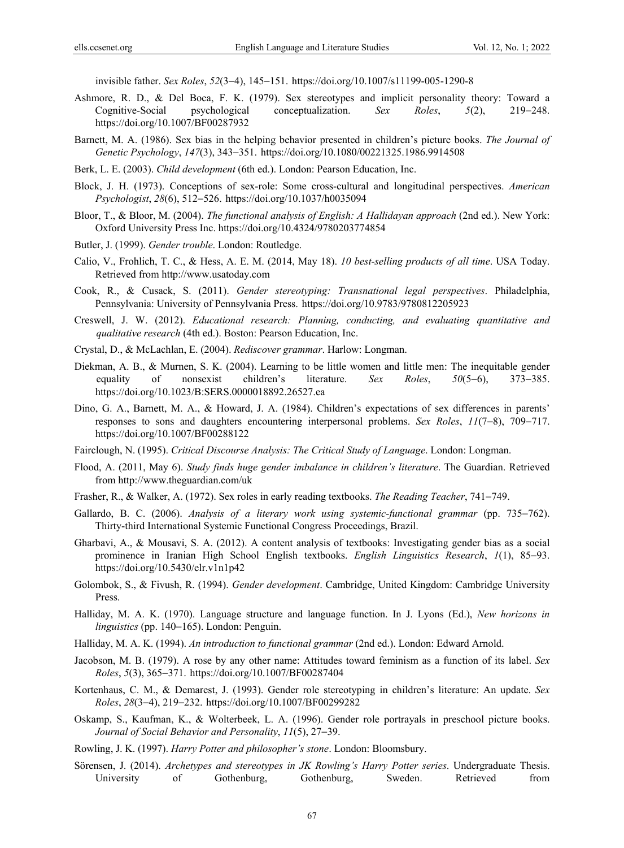invisible father. *Sex Roles*, *52*(3−4), 145−151. https://doi.org/10.1007/s11199-005-1290-8

- Ashmore, R. D., & Del Boca, F. K. (1979). Sex stereotypes and implicit personality theory: Toward a Cognitive-Social psychological conceptualization. *Sex Roles*, *5*(2), 219−248. https://doi.org/10.1007/BF00287932
- Barnett, M. A. (1986). Sex bias in the helping behavior presented in children's picture books. *The Journal of Genetic Psychology*, *147*(3), 343−351. https://doi.org/10.1080/00221325.1986.9914508
- Berk, L. E. (2003). *Child development* (6th ed.). London: Pearson Education, Inc.
- Block, J. H. (1973). Conceptions of sex-role: Some cross-cultural and longitudinal perspectives. *American Psychologist*, *28*(6), 512−526. https://doi.org/10.1037/h0035094
- Bloor, T., & Bloor, M. (2004). *The functional analysis of English: A Hallidayan approach* (2nd ed.). New York: Oxford University Press Inc. https://doi.org/10.4324/9780203774854
- Butler, J. (1999). *Gender trouble*. London: Routledge.
- Calio, V., Frohlich, T. C., & Hess, A. E. M. (2014, May 18). *10 best-selling products of all time*. USA Today. Retrieved from http://www.usatoday.com
- Cook, R., & Cusack, S. (2011). *Gender stereotyping: Transnational legal perspectives*. Philadelphia, Pennsylvania: University of Pennsylvania Press. https://doi.org/10.9783/9780812205923
- Creswell, J. W. (2012). *Educational research: Planning, conducting, and evaluating quantitative and qualitative research* (4th ed.). Boston: Pearson Education, Inc.
- Crystal, D., & McLachlan, E. (2004). *Rediscover grammar*. Harlow: Longman.
- Diekman, A. B., & Murnen, S. K. (2004). Learning to be little women and little men: The inequitable gender equality of nonsexist children's literature. *Sex Roles*, *50*(5−6), 373−385. https://doi.org/10.1023/B:SERS.0000018892.26527.ea
- Dino, G. A., Barnett, M. A., & Howard, J. A. (1984). Children's expectations of sex differences in parents' responses to sons and daughters encountering interpersonal problems. *Sex Roles*, *11*(7−8), 709−717. https://doi.org/10.1007/BF00288122
- Fairclough, N. (1995). *Critical Discourse Analysis: The Critical Study of Language*. London: Longman.
- Flood, A. (2011, May 6). *Study finds huge gender imbalance in children's literature*. The Guardian. Retrieved from http://www.theguardian.com/uk
- Frasher, R., & Walker, A. (1972). Sex roles in early reading textbooks. *The Reading Teacher*, 741−749.
- Gallardo, B. C. (2006). *Analysis of a literary work using systemic-functional grammar* (pp. 735−762). Thirty-third International Systemic Functional Congress Proceedings, Brazil.
- Gharbavi, A., & Mousavi, S. A. (2012). A content analysis of textbooks: Investigating gender bias as a social prominence in Iranian High School English textbooks. *English Linguistics Research*, *1*(1), 85−93. https://doi.org/10.5430/elr.v1n1p42
- Golombok, S., & Fivush, R. (1994). *Gender development*. Cambridge, United Kingdom: Cambridge University Press.
- Halliday, M. A. K. (1970). Language structure and language function. In J. Lyons (Ed.), *New horizons in linguistics* (pp. 140−165). London: Penguin.
- Halliday, M. A. K. (1994). *An introduction to functional grammar* (2nd ed.). London: Edward Arnold.
- Jacobson, M. B. (1979). A rose by any other name: Attitudes toward feminism as a function of its label. *Sex Roles*, *5*(3), 365−371. https://doi.org/10.1007/BF00287404
- Kortenhaus, C. M., & Demarest, J. (1993). Gender role stereotyping in children's literature: An update. *Sex Roles*, *28*(3−4), 219−232. https://doi.org/10.1007/BF00299282
- Oskamp, S., Kaufman, K., & Wolterbeek, L. A. (1996). Gender role portrayals in preschool picture books. *Journal of Social Behavior and Personality*, *11*(5), 27−39.
- Rowling, J. K. (1997). *Harry Potter and philosopher's stone*. London: Bloomsbury.
- Sörensen, J. (2014). *Archetypes and stereotypes in JK Rowling's Harry Potter series*. Undergraduate Thesis. University of Gothenburg, Gothenburg, Sweden. Retrieved from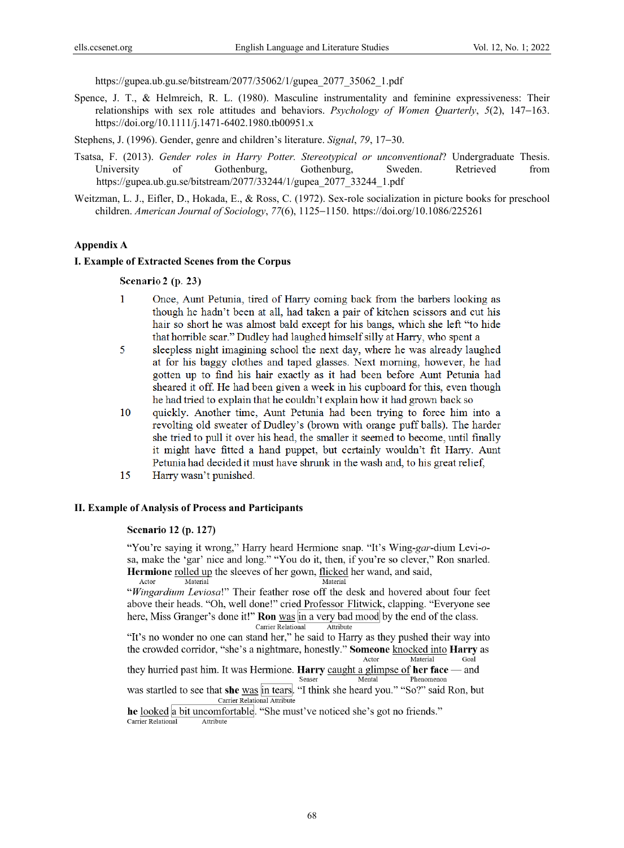https://gupea.ub.gu.se/bitstream/2077/35062/1/gupea\_2077\_35062\_1.pdf

Spence, J. T., & Helmreich, R. L. (1980). Masculine instrumentality and feminine expressiveness: Their relationships with sex role attitudes and behaviors. *Psychology of Women Quarterly*, *5*(2), 147−163. https://doi.org/10.1111/j.1471-6402.1980.tb00951.x

Stephens, J. (1996). Gender, genre and children's literature. *Signal*, *79*, 17−30.

- Tsatsa, F. (2013). *Gender roles in Harry Potter. Stereotypical or unconventional*? Undergraduate Thesis. University of Gothenburg, Gothenburg, Sweden. Retrieved from https://gupea.ub.gu.se/bitstream/2077/33244/1/gupea\_2077\_33244\_1.pdf
- Weitzman, L. J., Eifler, D., Hokada, E., & Ross, C. (1972). Sex-role socialization in picture books for preschool children. *American Journal of Sociology*, *77*(6), 1125−1150. https://doi.org/10.1086/225261

#### **Appendix A**

#### **I. Example of Extracted Scenes from the Corpus**

#### Scenario 2 (p. 23)

- $\mathbf{1}$ Once, Aunt Petunia, tired of Harry coming back from the barbers looking as though he hadn't been at all, had taken a pair of kitchen scissors and cut his hair so short he was almost bald except for his bangs, which she left "to hide that horrible scar." Dudley had laughed himself silly at Harry, who spent a
- 5 sleepless night imagining school the next day, where he was already laughed at for his baggy clothes and taped glasses. Next morning, however, he had gotten up to find his hair exactly as it had been before Aunt Petunia had sheared it off. He had been given a week in his cupboard for this, even though he had tried to explain that he couldn't explain how it had grown back so
- 10 quickly. Another time, Aunt Petunia had been trying to force him into a revolting old sweater of Dudley's (brown with orange puff balls). The harder she tried to pull it over his head, the smaller it seemed to become, until finally it might have fitted a hand puppet, but certainly wouldn't fit Harry. Aunt Petunia had decided it must have shrunk in the wash and, to his great relief,
- 15 Harry wasn't punished.

#### **II. Example of Analysis of Process and Participants**

## **Scenario 12 (p. 127)**

"You're saying it wrong," Harry heard Hermione snap. "It's Wing-gar-dium Levi-osa, make the 'gar' nice and long." "You do it, then, if you're so clever," Ron snarled. Hermione rolled up the sleeves of her gown, flicked her wand, and said, Actor Material Material

"Wingardium Leviosa!" Their feather rose off the desk and hovered about four feet above their heads. "Oh, well done!" cried Professor Flitwick, clapping. "Everyone see here, Miss Granger's done it!" **Ron** was in a very bad mood by the end of the class. Carrier Relational Attribute

"It's no wonder no one can stand her," he said to Harry as they pushed their way into the crowded corridor, "she's a nightmare, honestly." Someone knocked into Harry as Material Actor Goal they hurried past him. It was Hermione. Harry caught a glimpse of her face and

Senser Phenomenon Mental was startled to see that she was in tears. "I think she heard you." "So?" said Ron, but

Carrier Relational Attribute

he looked a bit uncomfortable. "She must've noticed she's got no friends." Carrier Relational Attribute